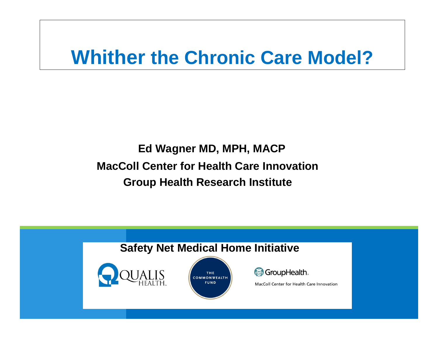# **Whither the Chronic Care Model?**

#### **Ed Wagner MD, MPH, MACP MacColl Center for Health Care InnovationGroup Health Research Institute**

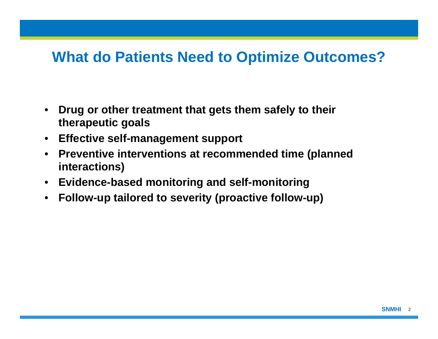#### **What do Patients Need to Optimize Outcomes?**

- **Drug or other treatment that gets them safely to their therapeutic goals**
- **Effective self-management support**
- **Preventive interventions at recommended time (planned interactions)**
- **Evidence-based monitoring and self-monitoring**
- **Follow-up tailored to severity (proactive follow-up)**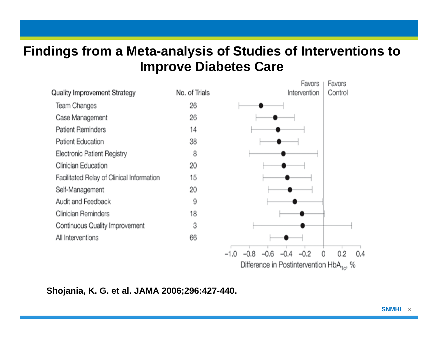#### **Findings from a Meta-analysis of Studies of Interventions to Improve Diabetes Care**



**Shojania, K. G. et al. JAMA 2006;296:427-440.**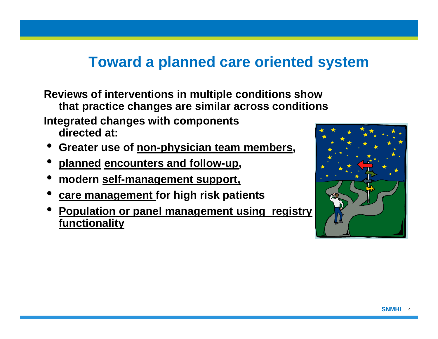### **Toward a planned care oriented system**

**Reviews of interventions in multiple conditions show that practice changes are similar across conditions Integrated changes with components directed at:**

- $\bullet$ **Greater use of non-physician team members,**
- **planned encounters and follow-up,**
- 0 **modern self-management support,**
- $\bullet$ **care management for high risk patients**
- $\bullet$  **Population or panel management using registry functionality**

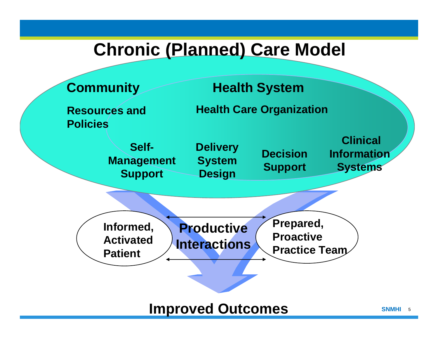### **Chronic (Planned) Care Model**

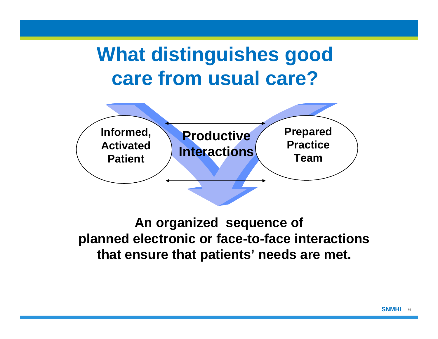# **What distinguishes good care from usual care?**



#### **An organized sequence of planned electronic or face-to-face interactions that ensure that patients' needs are met.**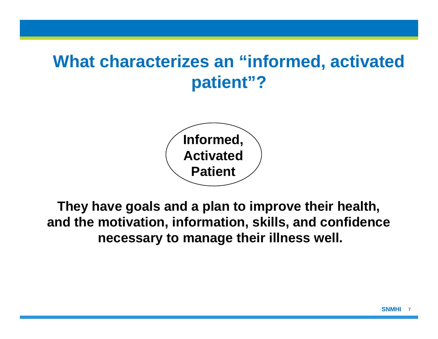## **What characterizes an "informed, activated patient"?**



**They have goals and a plan to improve their health, and the motivation, information, skills, and confidence necessary to manage their illness well.**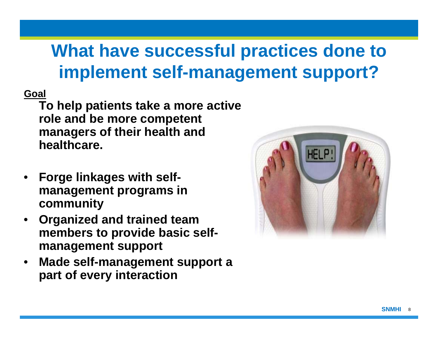## **What have successful practices done to implement self-management support?**

**Goal** 

**To help patients take a more active role and be more competent managers of their health and healthcare.** 

- **Forge linkages with selfmanagement programs in community**
- **Organized and trained team members to provide basic selfmanagement support**
- **Made self-management support a part of every interaction**

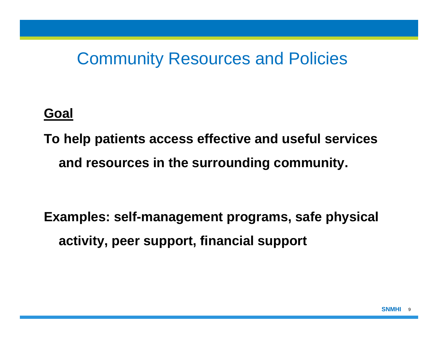### Community Resources and Policies

#### **Goal**

**To help patients access effective and useful services and resources in the surrounding community.**

**Examples: self-management programs, safe physical activity, peer support, financial support**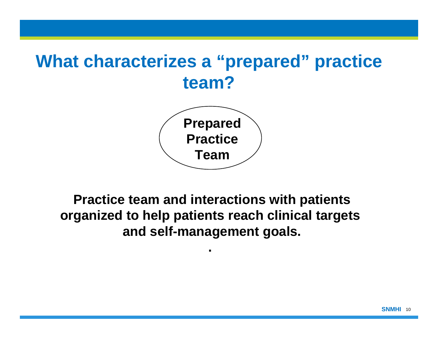## **What characterizes a "prepared" practice team?**



**Practice team and interactions with patients organized to help patients reach clinical targets and self-management goals.** 

**.**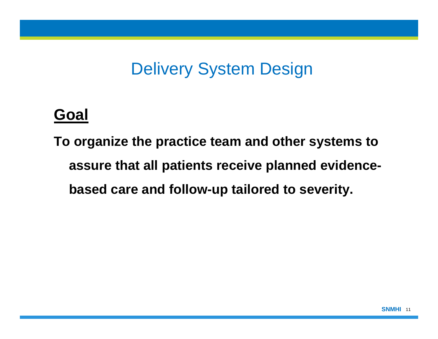### Delivery System Design

### **Goal**

**To organize the practice team and other systems to assure that all patients receive planned evidencebased care and follow-up tailored to severity.**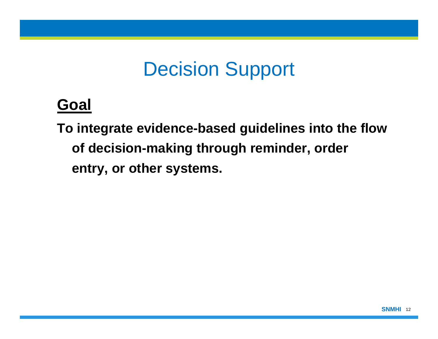# Decision Support

### **Goal**

**To integrate evidence-based guidelines into the flow of decision-making through reminder, order entry, or other systems.**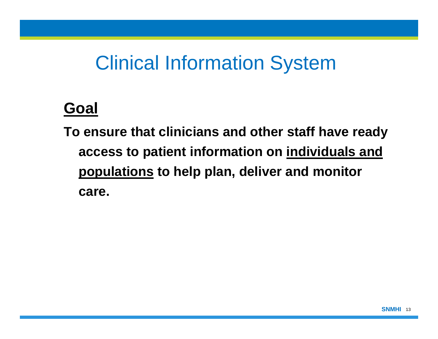# Clinical Information System

### **Goal**

**To ensure that clinicians and other staff have ready access to patient information on individuals and populations to help plan, deliver and monitor care.**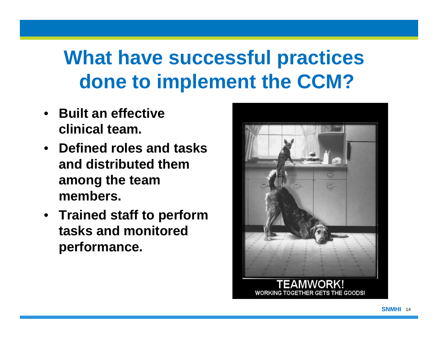# **What have successful practices done to implement the CCM?**

- **Built an effective clinical team.**
- **Defined roles and tasks and distributed them among the team members.**
- **Trained staff to perform tasks and monitored performance.**

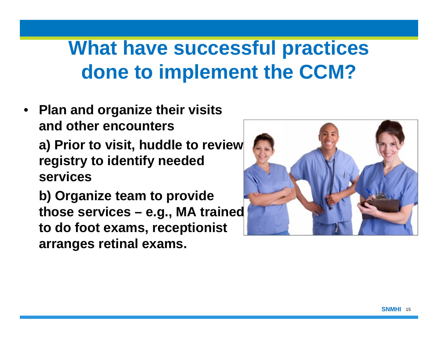# **What have successful practices done to implement the CCM?**

• **Plan and organize their visits and other encountersa) Prior to visit, huddle to review registry to identify needed services**

**b) Organize team to provide those services – e.g., MA trained to do foot exams, receptionist arranges retinal exams.**

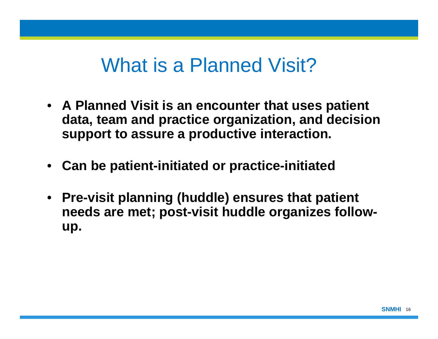## What is a Planned Visit?

- **A Planned Visit is an encounter that uses patient data, team and practice organization, and decision support to assure a productive interaction.**
- **Can be patient-initiated or practice-initiated**
- **Pre-visit planning (huddle) ensures that patient needs are met; post-visit huddle organizes followup.**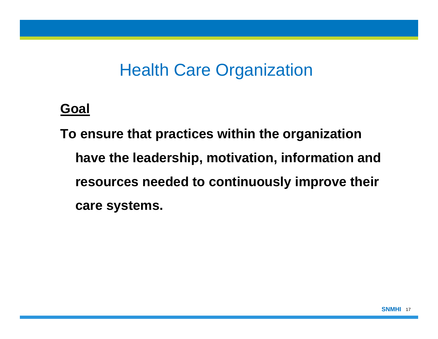### Health Care Organization

#### **Goal**

**To ensure that practices within the organization have the leadership, motivation, information and resources needed to continuously improve their care systems.**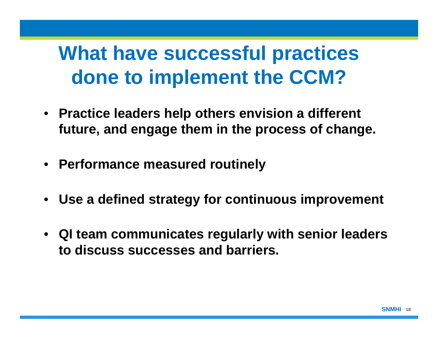# **What have successful practices done to implement the CCM?**

- **Practice leaders help others envision a different future, and engage them in the process of change.**
- **Performance measured routinely**
- **Use a defined strategy for continuous improvement**
- **QI team communicates regularly with senior leaders to discuss successes and barriers.**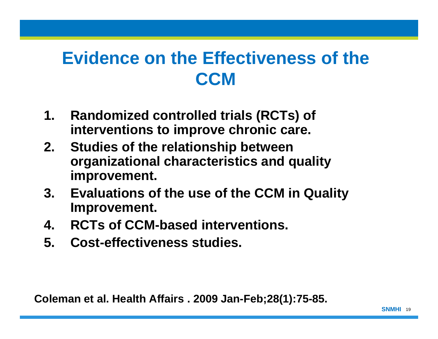## **Evidence on the Effectiveness of the CCM**

- **1. Randomized controlled trials (RCTs) of interventions to improve chronic care.**
- **2. Studies of the relationship between organizational characteristics and quality improvement.**
- **3. Evaluations of the use of the CCM in Quality Improvement.**
- **4. RCTs of CCM-based interventions.**
- **5. Cost-effectiveness studies.**

**Coleman et al. Health Affairs . 2009 Jan-Feb;28(1):75-85.**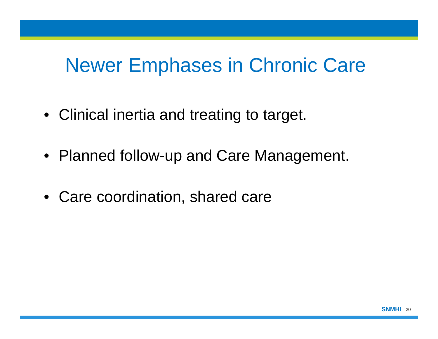## Newer Emphases in Chronic Care

- Clinical inertia and treating to target.
- Planned follow-up and Care Management.
- Care coordination, shared care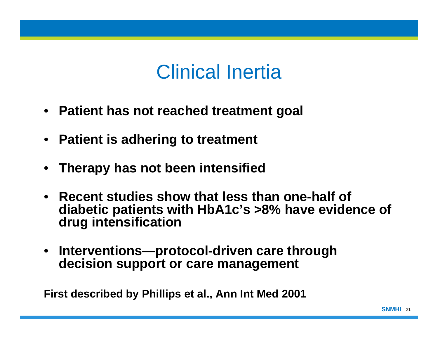## Clinical Inertia

- **Patient has not reached treatment goal**
- **Patient is adhering to treatment**
- **Therapy has not been intensified**
- **Recent studies show that less than one-half of diabetic patients with HbA1c's >8% have evidence of drug intensification**
- **Interventions—protocol-driven care through decision support or care management**

**First described by Phillips et al., Ann Int Med 2001**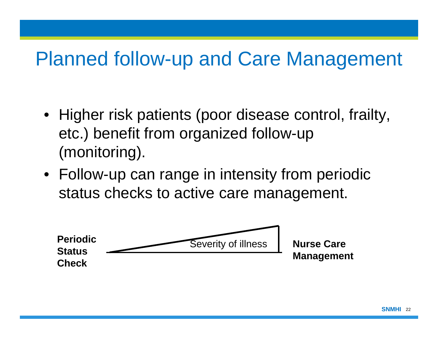# Planned follow-up and Care Management

- Higher risk patients (poor disease control, frailty, etc.) benefit from organized follow-up (monitoring).
- Follow-up can range in intensity from periodic status checks to active care management.

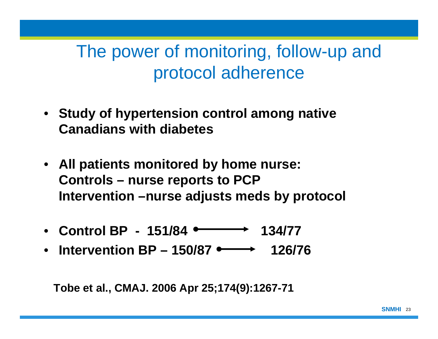## The power of monitoring, follow-up and protocol adherence

- **Study of hypertension control among native Canadians with diabetes**
- **All patients monitored by home nurse: Controls – nurse reports to PCP Intervention –nurse adjusts meds by protocol**
- Control BP  $151/84$   $\longrightarrow$   $134/77$
- **Intervention BP 150/87 • 126/76**

**Tobe et al., CMAJ. 2006 Apr 25;174(9):1267-71**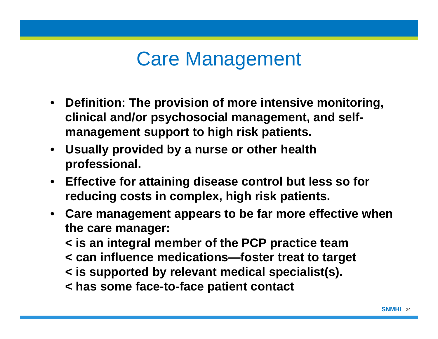# Care Management

- **Definition: The provision of more intensive monitoring, clinical and/or psychosocial management, and selfmanagement support to high risk patients.**
- **Usually provided by a nurse or other health professional.**
- **Effective for attaining disease control but less so for reducing costs in complex, high risk patients.**
- **Care management appears to be far more effective when the care manager:**

**< is an integral member of the PCP practice team < can influence medications—foster treat to target** 

- **< is supported by relevant medical specialist(s).**
- **< has some face-to-face patient contact**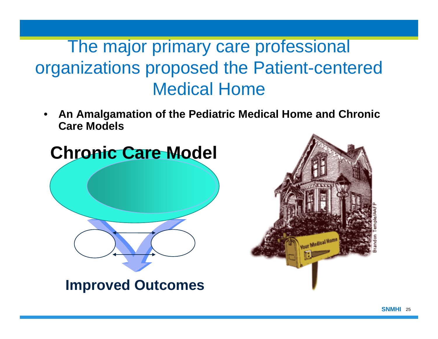## The major primary care professional organizations proposed the Patient-centered Medical Home

• **An Amalgamation of the Pediatric Medical Home and Chronic Care Models**



**Improved Outcomes**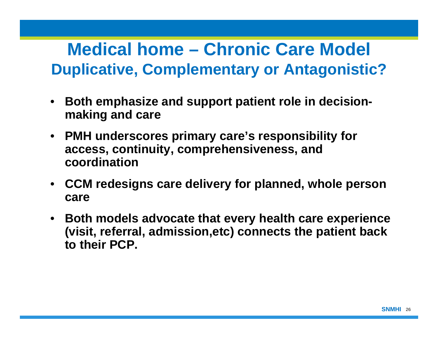### **Medical home – Chronic Care Model Duplicative, Complementary or Antagonistic?**

- **Both emphasize and support patient role in decisionmaking and care**
- **PMH underscores primary care's responsibility for access, continuity, comprehensiveness, and coordination**
- **CCM redesigns care delivery for planned, whole person care**
- **Both models advocate that every health care experience (visit, referral, admission,etc) connects the patient back to their PCP.**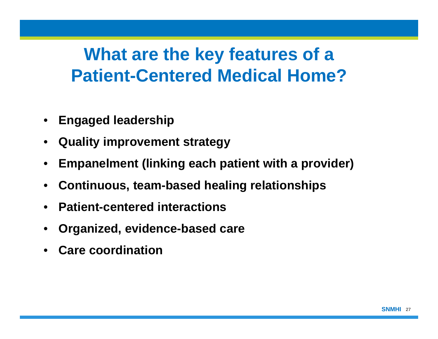## **What are the key features of a Patient-Centered Medical Home?**

- **Engaged leadership**
- **Quality improvement strategy**
- **Empanelment (linking each patient with a provider)**
- **Continuous, team-based healing relationships**
- **Patient-centered interactions**
- **Organized, evidence-based care**
- **Care coordination**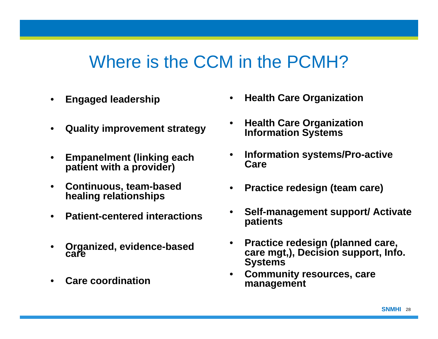### Where is the CCM in the PCMH?

- **Engaged leadership**
- **Quality improvement strategy**
- **Empanelment (linking each patient with a provider)**
- **Continuous, team-based healing relationships**
- **Patient-centered interactions**
- **Organized, evidence-based care**
- **Care coordination**
- **Health Care Organization**
- **Health Care Organization Information Systems**
- **Information systems/Pro-active Care**
- **Practice redesign (team care)**
- **Self-management support/ Activate patients**
- **Practice redesign (planned care, care mgt,), Decision support, Info. Systems**
- **Community resources, care management**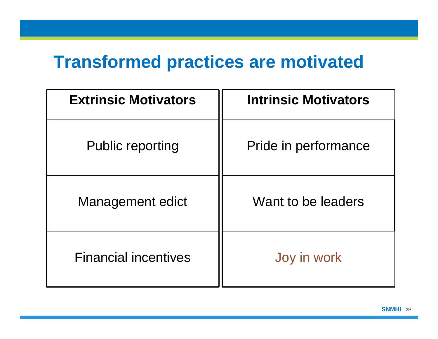### **Transformed practices are motivated**

| <b>Extrinsic Motivators</b> | <b>Intrinsic Motivators</b> |
|-----------------------------|-----------------------------|
| <b>Public reporting</b>     | Pride in performance        |
| <b>Management edict</b>     | Want to be leaders          |
| <b>Financial incentives</b> | Joy in work                 |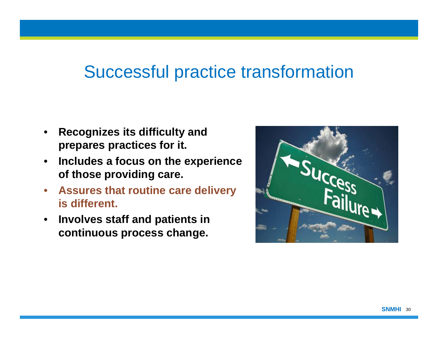### Successful practice transformation

- **Recognizes its difficulty and prepares practices for it.**
- **Includes a focus on the experience of those providing care.**
- **Assures that routine care delivery is different.**
- **Involves staff and patients in continuous process change.**